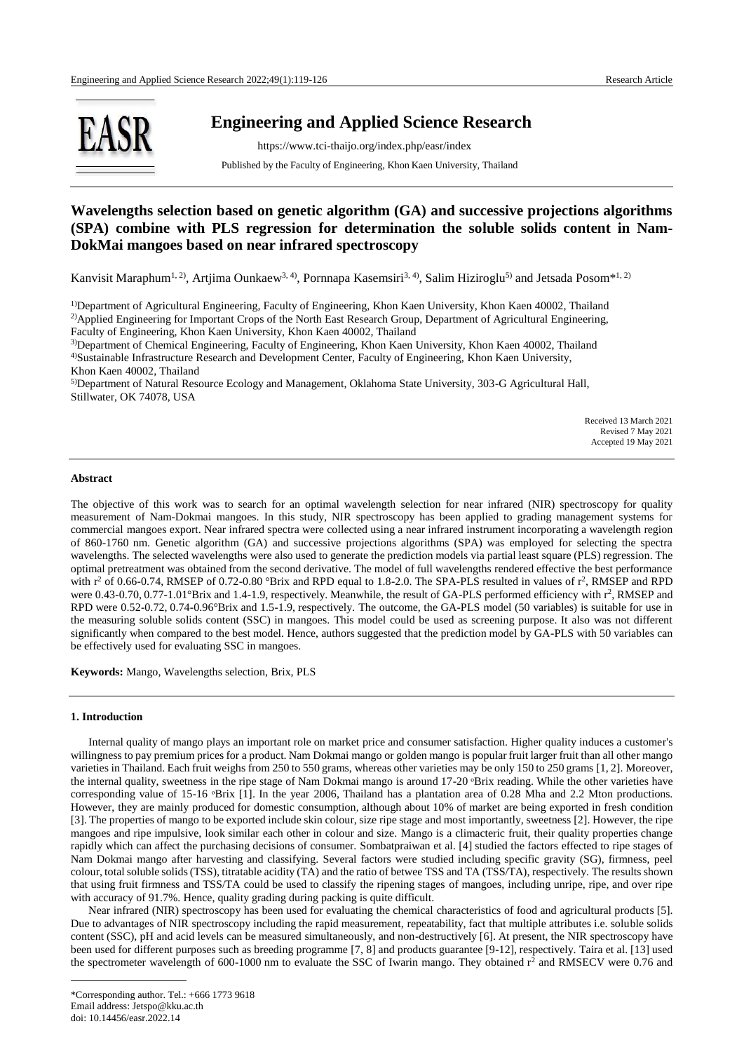

# **Engineering and Applied Science Research**

 https://www.tci-thaijo.org/index.php/easr/index Published by the Faculty of Engineering, Khon Kaen University, Thailand

# **Wavelengths selection based on genetic algorithm (GA) and successive projections algorithms (SPA) combine with PLS regression for determination the soluble solids content in Nam-DokMai mangoes based on near infrared spectroscopy**

Kanvisit Maraphum<sup>1, 2)</sup>, Artjima Ounkaew<sup>3, 4)</sup>, Pornnapa Kasemsiri<sup>3, 4)</sup>, Salim Hiziroglu<sup>5)</sup> and Jetsada Posom\*<sup>1, 2)</sup>

<sup>1)</sup>Department of Agricultural Engineering, Faculty of Engineering, Khon Kaen University, Khon Kaen 40002, Thailand <sup>2)</sup>Applied Engineering for Important Crops of the North East Research Group, Department of Agricultural Engineering, Faculty of Engineering, Khon Kaen University, Khon Kaen 40002, Thailand

3)Department of Chemical Engineering, Faculty of Engineering, Khon Kaen University, Khon Kaen 40002, Thailand 4)Sustainable Infrastructure Research and Development Center, Faculty of Engineering, Khon Kaen University, Khon Kaen 40002, Thailand

5)Department of Natural Resource Ecology and Management, Oklahoma State University, 303-G Agricultural Hall, Stillwater, OK 74078, USA

> Received 13 March 2021 Revised 7 May 2021 Accepted 19 May 2021

## **Abstract**

The objective of this work was to search for an optimal wavelength selection for near infrared (NIR) spectroscopy for quality measurement of Nam-Dokmai mangoes. In this study, NIR spectroscopy has been applied to grading management systems for commercial mangoes export. Near infrared spectra were collected using a near infrared instrument incorporating a wavelength region of 860-1760 nm. Genetic algorithm (GA) and successive projections algorithms (SPA) was employed for selecting the spectra wavelengths. The selected wavelengths were also used to generate the prediction models via partial least square (PLS) regression. The optimal pretreatment was obtained from the second derivative. The model of full wavelengths rendered effective the best performance with  $r^2$  of 0.66-0.74, RMSEP of 0.72-0.80 °Brix and RPD equal to 1.8-2.0. The SPA-PLS resulted in values of  $r^2$ , RMSEP and RPD were 0.43-0.70, 0.77-1.01°Brix and 1.4-1.9, respectively. Meanwhile, the result of GA-PLS performed efficiency with  $r^2$ , RMSEP and RPD were 0.52-0.72, 0.74-0.96°Brix and 1.5-1.9, respectively. The outcome, the GA-PLS model (50 variables) is suitable for use in the measuring soluble solids content (SSC) in mangoes. This model could be used as screening purpose. It also was not different significantly when compared to the best model. Hence, authors suggested that the prediction model by GA-PLS with 50 variables can be effectively used for evaluating SSC in mangoes.

**Keywords:** Mango, Wavelengths selection, Brix, PLS

# **1. Introduction**

Internal quality of mango plays an important role on market price and consumer satisfaction. Higher quality induces a customer's willingness to pay premium prices for a product. Nam Dokmai mango or golden mango is popular fruit larger fruit than all other mango varieties in Thailand. Each fruit weighs from 250 to 550 grams, whereas other varieties may be only 150 to 250 grams [1, 2]. Moreover, the internal quality, sweetness in the ripe stage of Nam Dokmai mango is around 17-20 °Brix reading. While the other varieties have corresponding value of 15-16 °Brix [1]. In the year 2006, Thailand has a plantation area of 0.28 Mha and 2.2 Mton productions. However, they are mainly produced for domestic consumption, although about 10% of market are being exported in fresh condition [3]. The properties of mango to be exported include skin colour, size ripe stage and most importantly, sweetness [2]. However, the ripe mangoes and ripe impulsive, look similar each other in colour and size. Mango is a climacteric fruit, their quality properties change rapidly which can affect the purchasing decisions of consumer. Sombatpraiwan et al. [4] studied the factors effected to ripe stages of Nam Dokmai mango after harvesting and classifying. Several factors were studied including specific gravity (SG), firmness, peel colour, total soluble solids (TSS), titratable acidity (TA) and the ratio of betwee TSS and TA (TSS/TA), respectively. The results shown that using fruit firmness and TSS/TA could be used to classify the ripening stages of mangoes, including unripe, ripe, and over ripe with accuracy of 91.7%. Hence, quality grading during packing is quite difficult.

Near infrared (NIR) spectroscopy has been used for evaluating the chemical characteristics of food and agricultural products [5]. Due to advantages of NIR spectroscopy including the rapid measurement, repeatability, fact that multiple attributes i.e. soluble solids content (SSC), pH and acid levels can be measured simultaneously, and non-destructively [6]. At present, the NIR spectroscopy have been used for different purposes such as breeding programme [7, 8] and products guarantee [9-12], respectively. Taira et al. [13] used the spectrometer wavelength of 600-1000 nm to evaluate the SSC of Iwarin mango. They obtained r<sup>2</sup> and RMSECV were 0.76 and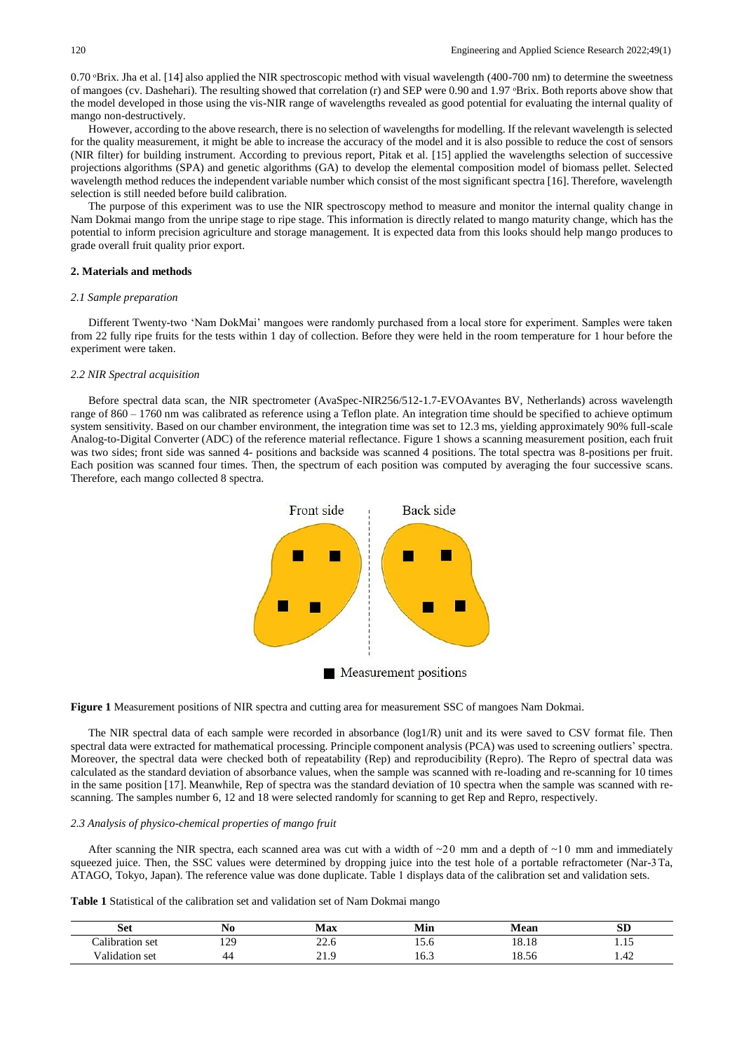$0.70$   $B$ rix. Jha et al. [14] also applied the NIR spectroscopic method with visual wavelength (400-700 nm) to determine the sweetness of mangoes (cv. Dashehari). The resulting showed that correlation (r) and SEP were 0.90 and 1.97 °Brix. Both reports above show that the model developed in those using the vis-NIR range of wavelengths revealed as good potential for evaluating the internal quality of mango non-destructively.

However, according to the above research, there is no selection of wavelengths for modelling. If the relevant wavelength is selected for the quality measurement, it might be able to increase the accuracy of the model and it is also possible to reduce the cost of sensors (NIR filter) for building instrument. According to previous report, Pitak et al. [15] applied the wavelengths selection of successive projections algorithms (SPA) and genetic algorithms (GA) to develop the elemental composition model of biomass pellet. Selected wavelength method reduces the independent variable number which consist of the most significant spectra [16]. Therefore, wavelength selection is still needed before build calibration.

The purpose of this experiment was to use the NIR spectroscopy method to measure and monitor the internal quality change in Nam Dokmai mango from the unripe stage to ripe stage. This information is directly related to mango maturity change, which has the potential to inform precision agriculture and storage management. It is expected data from this looks should help mango produces to grade overall fruit quality prior export.

## **2. Materials and methods**

## *2.1 Sample preparation*

Different Twenty-two 'Nam DokMai' mangoes were randomly purchased from a local store for experiment. Samples were taken from 22 fully ripe fruits for the tests within 1 day of collection. Before they were held in the room temperature for 1 hour before the experiment were taken.

## *2.2 NIR Spectral acquisition*

Before spectral data scan, the NIR spectrometer (AvaSpec-NIR256/512-1.7-EVOAvantes BV, Netherlands) across wavelength range of 860 – 1760 nm was calibrated as reference using a Teflon plate. An integration time should be specified to achieve optimum system sensitivity. Based on our chamber environment, the integration time was set to 12.3 ms, yielding approximately 90% full-scale Analog-to-Digital Converter (ADC) of the reference material reflectance. Figure 1 shows a scanning measurement position, each fruit was two sides; front side was sanned 4- positions and backside was scanned 4 positions. The total spectra was 8-positions per fruit. Each position was scanned four times. Then, the spectrum of each position was computed by averaging the four successive scans. Therefore, each mango collected 8 spectra.



**Figure 1** Measurement positions of NIR spectra and cutting area for measurement SSC of mangoes Nam Dokmai.

The NIR spectral data of each sample were recorded in absorbance (log1/R) unit and its were saved to CSV format file. Then spectral data were extracted for mathematical processing. Principle component analysis (PCA) was used to screening outliers' spectra. Moreover, the spectral data were checked both of repeatability (Rep) and reproducibility (Repro). The Repro of spectral data was calculated as the standard deviation of absorbance values, when the sample was scanned with re-loading and re-scanning for 10 times in the same position [17]. Meanwhile, Rep of spectra was the standard deviation of 10 spectra when the sample was scanned with rescanning. The samples number 6, 12 and 18 were selected randomly for scanning to get Rep and Repro, respectively.

## *2.3 Analysis of physico-chemical properties of mango fruit*

After scanning the NIR spectra, each scanned area was cut with a width of  $\sim 20$  mm and a depth of  $\sim 10$  mm and immediately squeezed juice. Then, the SSC values were determined by dropping juice into the test hole of a portable refractometer (Nar-3Ta, ATAGO, Tokyo, Japan). The reference value was done duplicate. Table 1 displays data of the calibration set and validation sets.

**Table 1** Statistical of the calibration set and validation set of Nam Dokmai mango

| Set                                 | 14U                                                    | Max                    | Min  | <b>Mean</b>       | $\sim$<br>ЮL                                          |
|-------------------------------------|--------------------------------------------------------|------------------------|------|-------------------|-------------------------------------------------------|
| $\mathbf{H}$<br>alibration set<br>. | 170<br>.<br>and the state of the state of the state of | <i><u><u>.</u></u></i> | 10.U | 10<br>10.10       | .                                                     |
| √alidation -<br>-set<br>.           | 44                                                     | - 1.7                  | 10.J | $\Omega$<br>18.56 | $\cdot$ + $\sim$<br>the control of the control of the |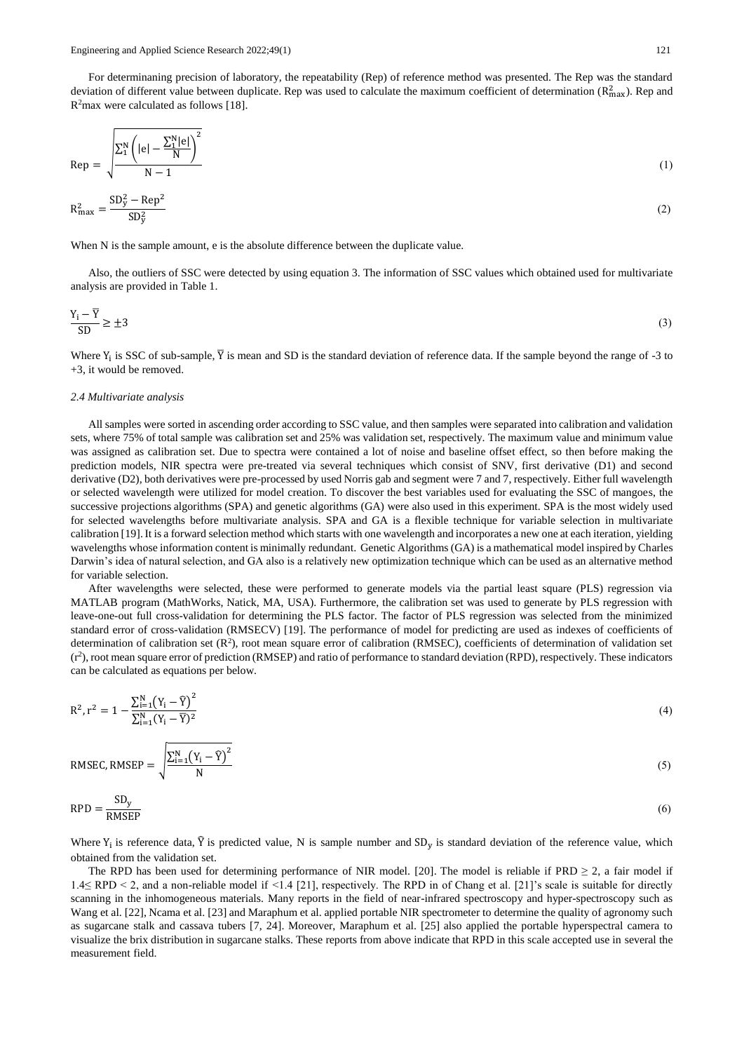For determinaning precision of laboratory, the repeatability (Rep) of reference method was presented. The Rep was the standard deviation of different value between duplicate. Rep was used to calculate the maximum coefficient of determination ( $R_{\text{max}}^2$ ). Rep and R<sup>2</sup>max were calculated as follows [18].

$$
Rep = \sqrt{\frac{\sum_{1}^{N} \left( |e| - \frac{\sum_{1}^{N} |e|}{N} \right)^{2}}{N - 1}}
$$
(1)

$$
R_{\text{max}}^2 = \frac{\text{SD}_y^2 - \text{Rep}^2}{\text{SD}_y^2} \tag{2}
$$

When N is the sample amount, e is the absolute difference between the duplicate value.

Also, the outliers of SSC were detected by using equation 3. The information of SSC values which obtained used for multivariate analysis are provided in Table 1.

$$
\frac{Y_i - \overline{Y}}{SD} \ge \pm 3\tag{3}
$$

Where  $Y_i$  is SSC of sub-sample,  $\overline{Y}$  is mean and SD is the standard deviation of reference data. If the sample beyond the range of -3 to +3, it would be removed.

#### *2.4 Multivariate analysis*

All samples were sorted in ascending order according to SSC value, and then samples were separated into calibration and validation sets, where 75% of total sample was calibration set and 25% was validation set, respectively. The maximum value and minimum value was assigned as calibration set. Due to spectra were contained a lot of noise and baseline offset effect, so then before making the prediction models, NIR spectra were pre-treated via several techniques which consist of SNV, first derivative (D1) and second derivative (D2), both derivatives were pre-processed by used Norris gab and segment were 7 and 7, respectively. Either full wavelength or selected wavelength were utilized for model creation. To discover the best variables used for evaluating the SSC of mangoes, the successive projections algorithms (SPA) and genetic algorithms (GA) were also used in this experiment. SPA is the most widely used for selected wavelengths before multivariate analysis. SPA and GA is a flexible technique for variable selection in multivariate calibration [19]. It is a forward selection method which starts with one wavelength and incorporates a new one at each iteration, yielding wavelengths whose information content is minimally redundant. Genetic Algorithms (GA) is a mathematical model inspired by Charles Darwin's idea of natural selection, and GA also is a relatively new optimization technique which can be used as an alternative method for variable selection.

After wavelengths were selected, these were performed to generate models via the partial least square (PLS) regression via MATLAB program (MathWorks, Natick, MA, USA). Furthermore, the calibration set was used to generate by PLS regression with leave-one-out full cross-validation for determining the PLS factor. The factor of PLS regression was selected from the minimized standard error of cross-validation (RMSECV) [19]. The performance of model for predicting are used as indexes of coefficients of determination of calibration set  $(R^2)$ , root mean square error of calibration (RMSEC), coefficients of determination of validation set (r2 ), root mean square error of prediction (RMSEP) and ratio of performance to standard deviation (RPD), respectively. These indicators can be calculated as equations per below.

$$
R^{2}, r^{2} = 1 - \frac{\sum_{i=1}^{N} (Y_{i} - \bar{Y})^{2}}{\sum_{i=1}^{N} (Y_{i} - \bar{Y})^{2}}
$$
(4)

RMSEC, RMSEP =  $\frac{\sum_{i=1}^{N} (Y_i - \widehat{Y})^2}{N}$ N (5)

$$
RPD = \frac{SD_y}{RMSEP} \tag{6}
$$

Where  $Y_i$  is reference data,  $\hat{Y}$  is predicted value, N is sample number and SD<sub>y</sub> is standard deviation of the reference value, which obtained from the validation set.

The RPD has been used for determining performance of NIR model. [20]. The model is reliable if  $PRD \geq 2$ , a fair model if 1.4≤ RPD < 2, and a non-reliable model if <1.4 [21], respectively. The RPD in of Chang et al. [21]'s scale is suitable for directly scanning in the inhomogeneous materials. Many reports in the field of near-infrared spectroscopy and hyper-spectroscopy such as Wang et al. [22], Ncama et al. [23] and Maraphum et al. applied portable NIR spectrometer to determine the quality of agronomy such as sugarcane stalk and cassava tubers [7, 24]. Moreover, Maraphum et al. [25] also applied the portable hyperspectral camera to visualize the brix distribution in sugarcane stalks. These reports from above indicate that RPD in this scale accepted use in several the measurement field.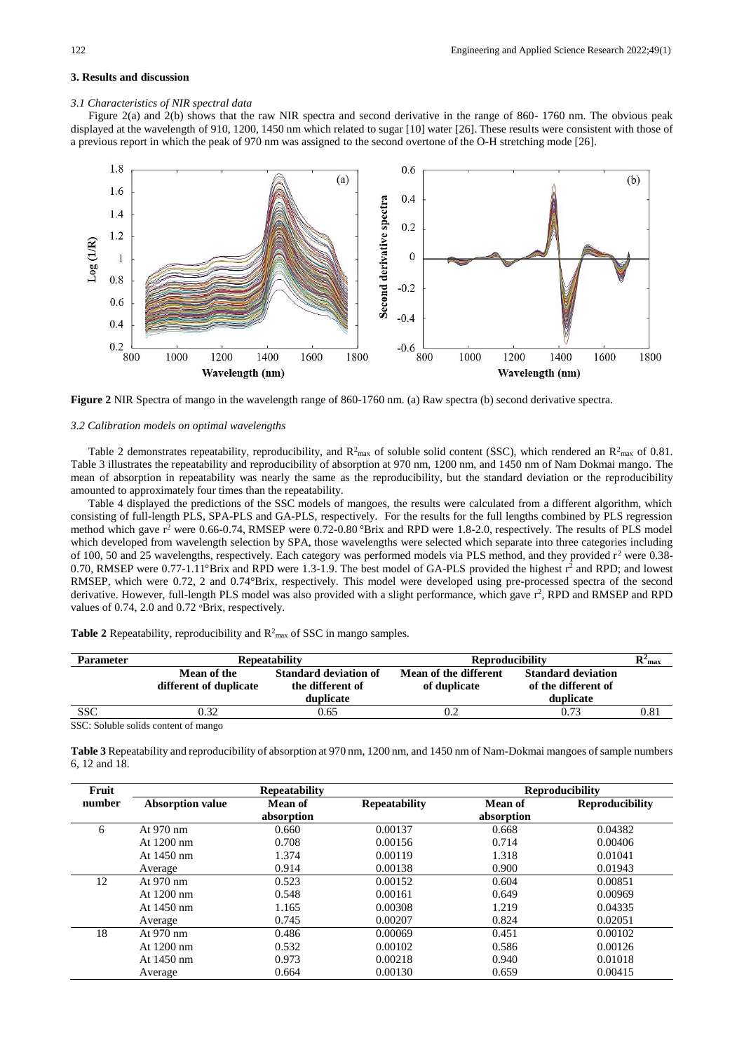# **3. Results and discussion**

## *3.1 Characteristics of NIR spectral data*

Figure 2(a) and 2(b) shows that the raw NIR spectra and second derivative in the range of 860- 1760 nm. The obvious peak displayed at the wavelength of 910, 1200, 1450 nm which related to sugar [10] water [26]. These results were consistent with those of a previous report in which the peak of 970 nm was assigned to the second overtone of the O-H stretching mode [26].



**Figure 2** NIR Spectra of mango in the wavelength range of 860-1760 nm. (a) Raw spectra (b) second derivative spectra.

#### *3.2 Calibration models on optimal wavelengths*

Table 2 demonstrates repeatability, reproducibility, and  $R^2_{\text{max}}$  of soluble solid content (SSC), which rendered an  $R^2_{\text{max}}$  of 0.81. Table 3 illustrates the repeatability and reproducibility of absorption at 970 nm, 1200 nm, and 1450 nm of Nam Dokmai mango. The mean of absorption in repeatability was nearly the same as the reproducibility, but the standard deviation or the reproducibility amounted to approximately four times than the repeatability.

Table 4 displayed the predictions of the SSC models of mangoes, the results were calculated from a different algorithm, which consisting of full-length PLS, SPA-PLS and GA-PLS, respectively. For the results for the full lengths combined by PLS regression method which gave  $r^2$  were 0.66-0.74, RMSEP were 0.72-0.80 °Brix and RPD were 1.8-2.0, respectively. The results of PLS model which developed from wavelength selection by SPA, those wavelengths were selected which separate into three categories including of 100, 50 and 25 wavelengths, respectively. Each category was performed models via PLS method, and they provided r<sup>2</sup> were 0.38-0.70, RMSEP were 0.77-1.11°Brix and RPD were 1.3-1.9. The best model of GA-PLS provided the highest r<sup>2</sup> and RPD; and lowest RMSEP, which were 0.72, 2 and 0.74°Brix, respectively. This model were developed using pre-processed spectra of the second derivative. However, full-length PLS model was also provided with a slight performance, which gave r<sup>2</sup>, RPD and RMSEP and RPD values of 0.74, 2.0 and 0.72 °Brix, respectively.

| Table 2 Repeatability, reproducibility and $R^2$ <sub>max</sub> of SSC in mango samples. |  |
|------------------------------------------------------------------------------------------|--|
|                                                                                          |  |

| Parameter  |                                       | <b>Repeatability</b>                                          | <b>Reproducibility</b>                | $\mathbf{R}^2$ <sub>max</sub>                                 |      |
|------------|---------------------------------------|---------------------------------------------------------------|---------------------------------------|---------------------------------------------------------------|------|
|            | Mean of the<br>different of duplicate | <b>Standard deviation of</b><br>the different of<br>duplicate | Mean of the different<br>of duplicate | <b>Standard deviation</b><br>of the different of<br>duplicate |      |
| <b>SSC</b> | ).32                                  | 0.65                                                          |                                       | 0.73                                                          | 0.81 |

SSC: Soluble solids content of mango

**Table 3** Repeatability and reproducibility of absorption at 970 nm, 1200 nm, and 1450 nm of Nam-Dokmai mangoes of sample numbers 6, 12 and 18.

| Fruit  |                         | <b>Repeatability</b> | <b>Reproducibility</b> |                |                        |
|--------|-------------------------|----------------------|------------------------|----------------|------------------------|
| number | <b>Absorption value</b> | Mean of              | <b>Repeatability</b>   | <b>Mean of</b> | <b>Reproducibility</b> |
|        |                         | absorption           |                        | absorption     |                        |
| 6      | At 970 nm               | 0.660                | 0.00137                | 0.668          | 0.04382                |
|        | At $1200 \text{ nm}$    | 0.708                | 0.00156                | 0.714          | 0.00406                |
|        | At $1450$ nm            | 1.374                | 0.00119                | 1.318          | 0.01041                |
|        | Average                 | 0.914                | 0.00138                | 0.900          | 0.01943                |
| 12     | At $970 \text{ nm}$     | 0.523                | 0.00152                | 0.604          | 0.00851                |
|        | At $1200 \text{ nm}$    | 0.548                | 0.00161                | 0.649          | 0.00969                |
|        | At $1450$ nm            | 1.165                | 0.00308                | 1.219          | 0.04335                |
|        | Average                 | 0.745                | 0.00207                | 0.824          | 0.02051                |
| 18     | At $970 \text{ nm}$     | 0.486                | 0.00069                | 0.451          | 0.00102                |
|        | At $1200 \text{ nm}$    | 0.532                | 0.00102                | 0.586          | 0.00126                |
|        | At 1450 nm              | 0.973                | 0.00218                | 0.940          | 0.01018                |
|        | Average                 | 0.664                | 0.00130                | 0.659          | 0.00415                |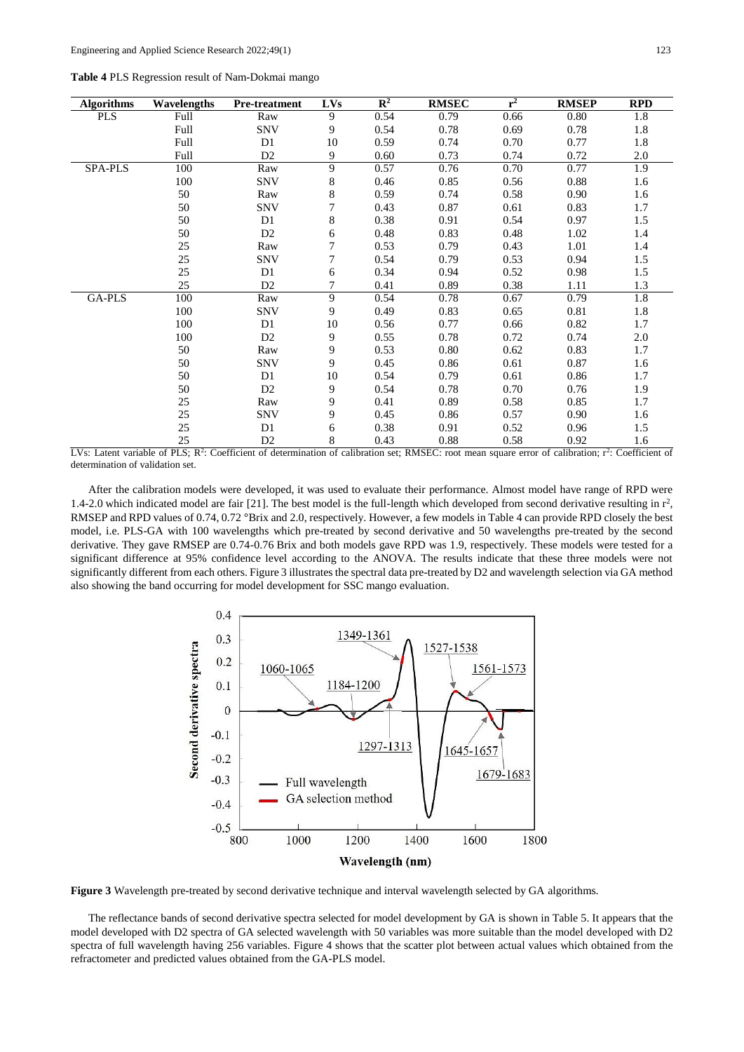| Table 4 PLS Regression result of Nam-Dokmai mango |  |  |  |  |
|---------------------------------------------------|--|--|--|--|
|---------------------------------------------------|--|--|--|--|

| <b>Algorithms</b> | Wavelengths | <b>Pre-treatment</b> | <b>LVs</b> | $\mathbb{R}^2$ | <b>RMSEC</b> | $r^2$ | <b>RMSEP</b> | <b>RPD</b> |
|-------------------|-------------|----------------------|------------|----------------|--------------|-------|--------------|------------|
| <b>PLS</b>        | Full        | Raw                  | 9          | 0.54           | 0.79         | 0.66  | 0.80         | 1.8        |
|                   | Full        | <b>SNV</b>           | 9          | 0.54           | 0.78         | 0.69  | 0.78         | 1.8        |
|                   | Full        | D1                   | 10         | 0.59           | 0.74         | 0.70  | 0.77         | 1.8        |
|                   | Full        | D2                   | 9          | 0.60           | 0.73         | 0.74  | 0.72         | 2.0        |
| SPA-PLS           | 100         | Raw                  | 9          | 0.57           | 0.76         | 0.70  | 0.77         | 1.9        |
|                   | 100         | <b>SNV</b>           | 8          | 0.46           | 0.85         | 0.56  | 0.88         | 1.6        |
|                   | 50          | Raw                  | $\,8\,$    | 0.59           | 0.74         | 0.58  | 0.90         | 1.6        |
|                   | 50          | <b>SNV</b>           | 7          | 0.43           | 0.87         | 0.61  | 0.83         | 1.7        |
|                   | 50          | D1                   | $\,8\,$    | 0.38           | 0.91         | 0.54  | 0.97         | 1.5        |
|                   | 50          | D <sub>2</sub>       | 6          | 0.48           | 0.83         | 0.48  | 1.02         | 1.4        |
|                   | 25          | Raw                  | 7          | 0.53           | 0.79         | 0.43  | 1.01         | 1.4        |
|                   | 25          | <b>SNV</b>           | 7          | 0.54           | 0.79         | 0.53  | 0.94         | 1.5        |
|                   | 25          | D1                   | 6          | 0.34           | 0.94         | 0.52  | 0.98         | 1.5        |
|                   | 25          | D <sub>2</sub>       | 7          | 0.41           | 0.89         | 0.38  | 1.11         | 1.3        |
| GA-PLS            | 100         | Raw                  | 9          | 0.54           | 0.78         | 0.67  | 0.79         | 1.8        |
|                   | 100         | <b>SNV</b>           | 9          | 0.49           | 0.83         | 0.65  | 0.81         | 1.8        |
|                   | 100         | D1                   | 10         | 0.56           | 0.77         | 0.66  | 0.82         | 1.7        |
|                   | 100         | D <sub>2</sub>       | 9          | 0.55           | 0.78         | 0.72  | 0.74         | 2.0        |
|                   | 50          | Raw                  | 9          | 0.53           | 0.80         | 0.62  | 0.83         | 1.7        |
|                   | 50          | <b>SNV</b>           | 9          | 0.45           | 0.86         | 0.61  | 0.87         | 1.6        |
|                   | 50          | D1                   | 10         | 0.54           | 0.79         | 0.61  | 0.86         | 1.7        |
|                   | 50          | D <sub>2</sub>       | 9          | 0.54           | 0.78         | 0.70  | 0.76         | 1.9        |
|                   | 25          | Raw                  | 9          | 0.41           | 0.89         | 0.58  | 0.85         | 1.7        |
|                   | 25          | <b>SNV</b>           | 9          | 0.45           | 0.86         | 0.57  | 0.90         | 1.6        |
|                   | 25          | D <sub>1</sub>       | 6          | 0.38           | 0.91         | 0.52  | 0.96         | 1.5        |
|                   | 25          | D <sub>2</sub>       | 8          | 0.43           | 0.88         | 0.58  | 0.92         | 1.6        |

LVs: Latent variable of PLS; R<sup>2</sup>: Coefficient of determination of calibration set; RMSEC: root mean square error of calibration; r<sup>2</sup>: Coefficient of determination of validation set.

After the calibration models were developed, it was used to evaluate their performance. Almost model have range of RPD were 1.4-2.0 which indicated model are fair [21]. The best model is the full-length which developed from second derivative resulting in  $r^2$ , RMSEP and RPD values of 0.74, 0.72 °Brix and 2.0, respectively. However, a few models in Table 4 can provide RPD closely the best model, i.e. PLS-GA with 100 wavelengths which pre-treated by second derivative and 50 wavelengths pre-treated by the second derivative. They gave RMSEP are 0.74-0.76 Brix and both models gave RPD was 1.9, respectively. These models were tested for a significant difference at 95% confidence level according to the ANOVA. The results indicate that these three models were not significantly different from each others. Figure 3 illustrates the spectral data pre-treated by D2 and wavelength selection via GA method also showing the band occurring for model development for SSC mango evaluation.



**Figure 3** Wavelength pre-treated by second derivative technique and interval wavelength selected by GA algorithms.

The reflectance bands of second derivative spectra selected for model development by GA is shown in Table 5. It appears that the model developed with D2 spectra of GA selected wavelength with 50 variables was more suitable than the model developed with D2 spectra of full wavelength having 256 variables. Figure 4 shows that the scatter plot between actual values which obtained from the refractometer and predicted values obtained from the GA-PLS model.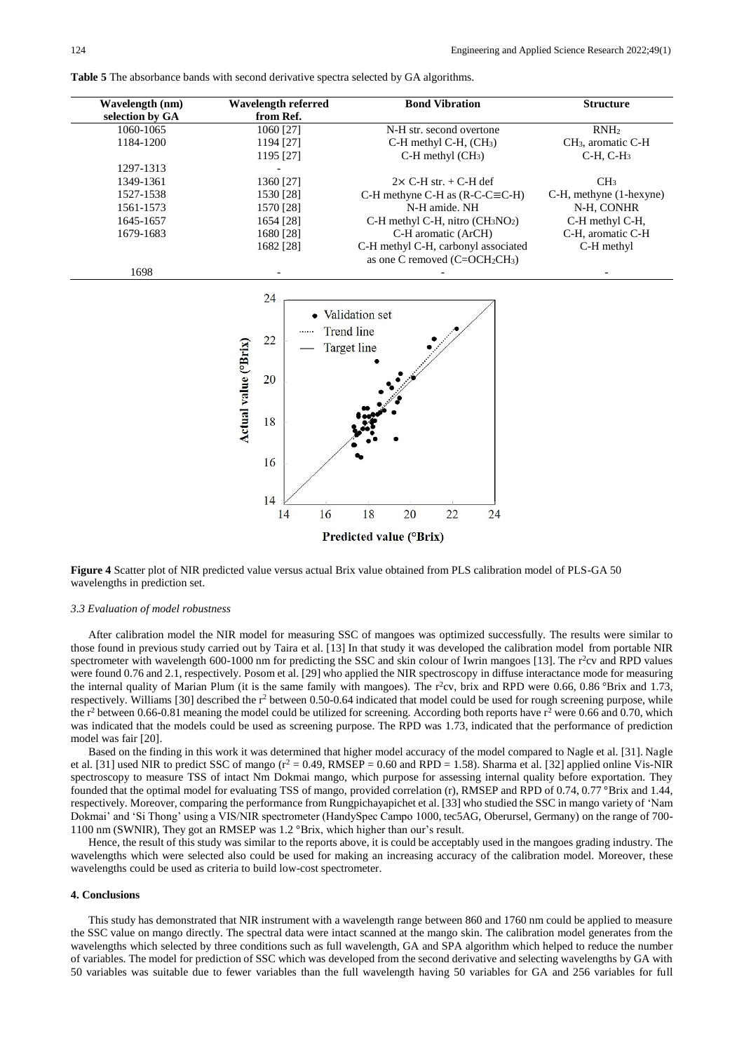**Table 5** The absorbance bands with second derivative spectra selected by GA algorithms.

| Wavelength (nm)<br>selection by GA | Wavelength referred<br>from Ref. | <b>Bond Vibration</b>               | <b>Structure</b>               |
|------------------------------------|----------------------------------|-------------------------------------|--------------------------------|
| 1060-1065                          | 1060 [27]                        | N-H str. second overtone            | RNH <sub>2</sub>               |
| 1184-1200                          | 1194 [27]                        | $C-H$ methyl $C-H$ , $(CH_3)$       | CH <sub>3</sub> , aromatic C-H |
|                                    | 1195 [27]                        | $C-H$ methyl $(CH_3)$               | $C-H$ , $C-H_3$                |
| 1297-1313                          |                                  |                                     |                                |
| 1349-1361                          | 1360 [27]                        | $2 \times C$ -H str. + C-H def      | CH <sub>3</sub>                |
| 1527-1538                          | 1530 [28]                        | C-H methyne C-H as $(R-C=CE-H)$     | C-H, methyne (1-hexyne)        |
| 1561-1573                          | 1570 [28]                        | N-H amide. NH                       | N-H, CONHR                     |
| 1645-1657                          | 1654 [28]                        | C-H methyl C-H, nitro $(CH_3NO_2)$  | C-H methyl C-H,                |
| 1679-1683                          | 1680 [28]                        | C-H aromatic (ArCH)                 | C-H. aromatic C-H              |
|                                    | 1682 [28]                        | C-H methyl C-H, carbonyl associated | C-H methyl                     |
|                                    |                                  | as one C removed $(C=OCH2CH3)$      |                                |
| 1698                               |                                  |                                     |                                |



**Figure 4** Scatter plot of NIR predicted value versus actual Brix value obtained from PLS calibration model of PLS-GA 50 wavelengths in prediction set.

### *3.3 Evaluation of model robustness*

After calibration model the NIR model for measuring SSC of mangoes was optimized successfully. The results were similar to those found in previous study carried out by Taira et al. [13] In that study it was developed the calibration model from portable NIR spectrometer with wavelength  $600-1000$  nm for predicting the SSC and skin colour of Iwrin mangoes [13]. The  $r^2$ cv and RPD values were found 0.76 and 2.1, respectively. Posom et al. [29] who applied the NIR spectroscopy in diffuse interactance mode for measuring the internal quality of Marian Plum (it is the same family with mangoes). The  $r^2cv$ , brix and RPD were 0.66, 0.86 °Brix and 1.73, respectively. Williams [30] described the r<sup>2</sup> between 0.50-0.64 indicated that model could be used for rough screening purpose, while the  $r^2$  between 0.66-0.81 meaning the model could be utilized for screening. According both reports have  $r^2$  were 0.66 and 0.70, which was indicated that the models could be used as screening purpose. The RPD was 1.73, indicated that the performance of prediction model was fair [20].

Based on the finding in this work it was determined that higher model accuracy of the model compared to Nagle et al. [31]. Nagle et al. [31] used NIR to predict SSC of mango  $(r^2 = 0.49$ , RMSEP = 0.60 and RPD = 1.58). Sharma et al. [32] applied online Vis-NIR spectroscopy to measure TSS of intact Nm Dokmai mango, which purpose for assessing internal quality before exportation. They founded that the optimal model for evaluating TSS of mango, provided correlation (r), RMSEP and RPD of 0.74, 0.77 °Brix and 1.44, respectively. Moreover, comparing the performance from Rungpichayapichet et al. [33] who studied the SSC in mango variety of 'Nam Dokmai' and 'Si Thong' using a VIS/NIR spectrometer (HandySpec Campo 1000, tec5AG, Oberursel, Germany) on the range of 700- 1100 nm (SWNIR), They got an RMSEP was 1.2 °Brix, which higher than our's result.

Hence, the result of this study was similar to the reports above, it is could be acceptably used in the mangoes grading industry. The wavelengths which were selected also could be used for making an increasing accuracy of the calibration model. Moreover, these wavelengths could be used as criteria to build low-cost spectrometer.

#### **4. Conclusions**

This study has demonstrated that NIR instrument with a wavelength range between 860 and 1760 nm could be applied to measure the SSC value on mango directly. The spectral data were intact scanned at the mango skin. The calibration model generates from the wavelengths which selected by three conditions such as full wavelength, GA and SPA algorithm which helped to reduce the number of variables. The model for prediction of SSC which was developed from the second derivative and selecting wavelengths by GA with 50 variables was suitable due to fewer variables than the full wavelength having 50 variables for GA and 256 variables for full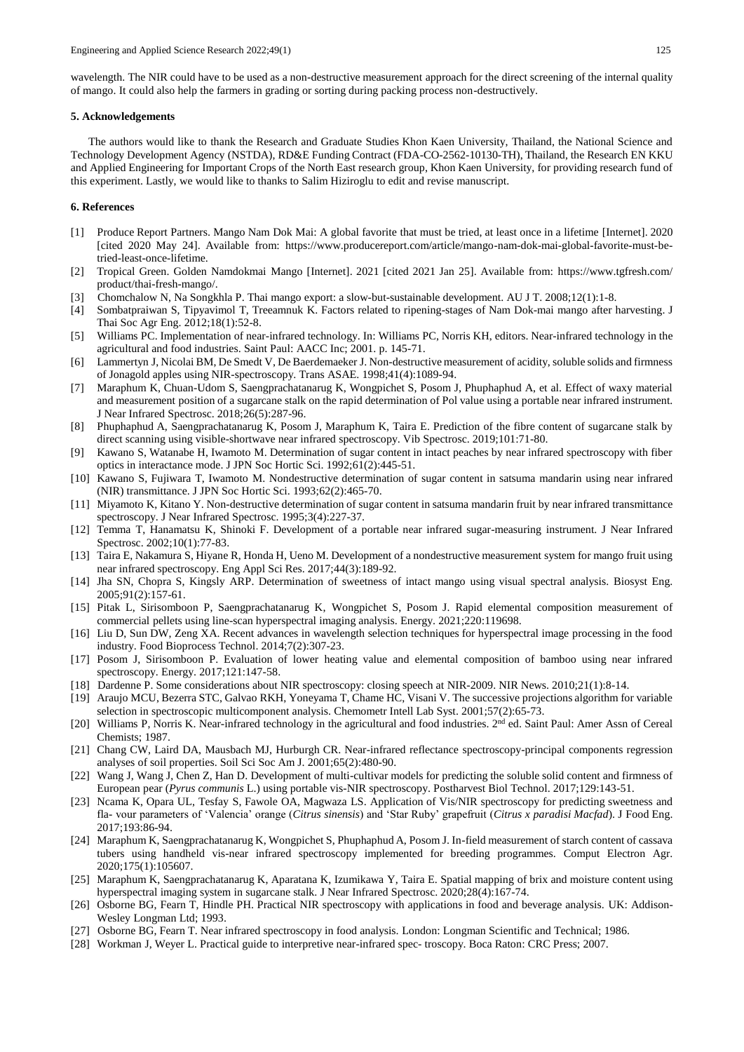wavelength. The NIR could have to be used as a non-destructive measurement approach for the direct screening of the internal quality of mango. It could also help the farmers in grading or sorting during packing process non-destructively.

# **5. Acknowledgements**

The authors would like to thank the Research and Graduate Studies Khon Kaen University, Thailand, the National Science and Technology Development Agency (NSTDA), RD&E Funding Contract (FDA-CO-2562-10130-TH), Thailand, the Research EN KKU and Applied Engineering for Important Crops of the North East research group, Khon Kaen University, for providing research fund of this experiment. Lastly, we would like to thanks to Salim Hiziroglu to edit and revise manuscript.

# **6. References**

- [1] Produce Report Partners. Mango Nam Dok Mai: A global favorite that must be tried, at least once in a lifetime [Internet]. 2020 [cited 2020 May 24]. Available from: https://www.producereport.com/article/mango-nam-dok-mai-global-favorite-must-betried-least-once-lifetime.
- [2] Tropical Green. Golden Namdokmai Mango [Internet]. 2021 [cited 2021 Jan 25]. Available from: https://www.tgfresh.com/ product/thai-fresh-mango/.
- [3] Chomchalow N, Na Songkhla P. Thai mango export: a slow-but-sustainable development. AU J T. 2008;12(1):1-8.
- [4] Sombatpraiwan S, Tipyavimol T, Treeamnuk K. Factors related to ripening-stages of Nam Dok-mai mango after harvesting. J Thai Soc Agr Eng. 2012;18(1):52-8.
- [5] Williams PC. Implementation of near-infrared technology. In: Williams PC, Norris KH, editors. Near-infrared technology in the agricultural and food industries. Saint Paul: AACC Inc; 2001. p. 145-71.
- [6] Lammertyn J, Nicolai BM, De Smedt V, De Baerdemaeker J. Non-destructive measurement of acidity, soluble solids and firmness of Jonagold apples using NIR-spectroscopy. Trans ASAE. 1998;41(4):1089-94.
- [7] Maraphum K, Chuan-Udom S, Saengprachatanarug K, Wongpichet S, Posom J, Phuphaphud A, et al. Effect of waxy material and measurement position of a sugarcane stalk on the rapid determination of Pol value using a portable near infrared instrument. J Near Infrared Spectrosc. 2018;26(5):287-96.
- [8] Phuphaphud A, Saengprachatanarug K, Posom J, Maraphum K, Taira E. Prediction of the fibre content of sugarcane stalk by direct scanning using visible-shortwave near infrared spectroscopy. Vib Spectrosc. 2019;101:71-80.
- [9] Kawano S, Watanabe H, Iwamoto M. Determination of sugar content in intact peaches by near infrared spectroscopy with fiber optics in interactance mode. J JPN Soc Hortic Sci. 1992;61(2):445-51.
- [10] Kawano S, Fujiwara T, Iwamoto M. Nondestructive determination of sugar content in satsuma mandarin using near infrared (NIR) transmittance. J JPN Soc Hortic Sci. 1993;62(2):465-70.
- [11] Miyamoto K, Kitano Y. Non-destructive determination of sugar content in satsuma mandarin fruit by near infrared transmittance spectroscopy. J Near Infrared Spectrosc. 1995;3(4):227-37.
- [12] Temma T, Hanamatsu K, Shinoki F. Development of a portable near infrared sugar-measuring instrument. J Near Infrared Spectrosc. 2002;10(1):77-83.
- [13] Taira E, Nakamura S, Hiyane R, Honda H, Ueno M. Development of a nondestructive measurement system for mango fruit using near infrared spectroscopy. Eng Appl Sci Res. 2017;44(3):189-92.
- [14] Jha SN, Chopra S, Kingsly ARP. Determination of sweetness of intact mango using visual spectral analysis. Biosyst Eng. 2005;91(2):157-61.
- [15] Pitak L, Sirisomboon P, Saengprachatanarug K, Wongpichet S, Posom J. Rapid elemental composition measurement of commercial pellets using line-scan hyperspectral imaging analysis. Energy. 2021;220:119698.
- [16] Liu D, Sun DW, Zeng XA. Recent advances in wavelength selection techniques for hyperspectral image processing in the food industry. Food Bioprocess Technol. 2014;7(2):307-23.
- [17] Posom J, Sirisomboon P. Evaluation of lower heating value and elemental composition of bamboo using near infrared spectroscopy. Energy. 2017;121:147-58.
- [18] Dardenne P. Some considerations about NIR spectroscopy: closing speech at NIR-2009. NIR News. 2010;21(1):8-14.
- [19] Araujo MCU, Bezerra STC, Galvao RKH, Yoneyama T, Chame HC, Visani V. The successive projections algorithm for variable selection in spectroscopic multicomponent analysis. Chemometr Intell Lab Syst. 2001;57(2):65-73.
- [20] Williams P, Norris K. Near-infrared technology in the agricultural and food industries. 2<sup>nd</sup> ed. Saint Paul: Amer Assn of Cereal Chemists; 1987.
- [21] Chang CW, Laird DA, Mausbach MJ, Hurburgh CR. Near-infrared reflectance spectroscopy-principal components regression analyses of soil properties. Soil Sci Soc Am J. 2001;65(2):480-90.
- [22] Wang J, Wang J, Chen Z, Han D. Development of multi-cultivar models for predicting the soluble solid content and firmness of European pear (*Pyrus communis* L.) using portable vis-NIR spectroscopy. Postharvest Biol Technol. 2017;129:143-51.
- [23] Ncama K, Opara UL, Tesfay S, Fawole OA, Magwaza LS. Application of Vis/NIR spectroscopy for predicting sweetness and fla- vour parameters of 'Valencia' orange (*Citrus sinensis*) and 'Star Ruby' grapefruit (*Citrus x paradisi Macfad*). J Food Eng. 2017;193:86-94.
- [24] Maraphum K, Saengprachatanarug K, Wongpichet S, Phuphaphud A, Posom J. In-field measurement of starch content of cassava tubers using handheld vis-near infrared spectroscopy implemented for breeding programmes. Comput Electron Agr. 2020;175(1):105607.
- [25] Maraphum K, Saengprachatanarug K, Aparatana K, Izumikawa Y, Taira E. Spatial mapping of brix and moisture content using hyperspectral imaging system in sugarcane stalk. J Near Infrared Spectrosc. 2020;28(4):167-74.
- [26] Osborne BG, Fearn T, Hindle PH. Practical NIR spectroscopy with applications in food and beverage analysis. UK: Addison-Wesley Longman Ltd; 1993.
- [27] Osborne BG, Fearn T. Near infrared spectroscopy in food analysis. London: Longman Scientific and Technical; 1986.
- [28] Workman J, Weyer L. Practical guide to interpretive near-infrared spec- troscopy. Boca Raton: CRC Press; 2007.